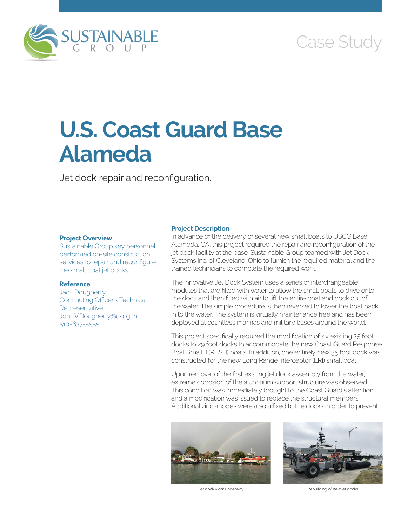

## Case Study

# **U.S. Coast Guard Base Alameda**

Jet dock repair and reconfiguration.

### **Project Overview**

Sustainable Group key personnel performed on-site construction services to repair and reconfigure the small boat jet docks.

### **Reference**

Jack Dougherty Contracting Officer's Technical **Representative** [John.V.Dougherty@uscg.mil](mailto:John.V.Dougherty@uscg.mil) 510-637-5555

### **Project Description**

In advance of the delivery of several new small boats to USCG Base Alameda, CA, this project required the repair and reconfiguration of the jet dock facility at the base. Sustainable Group teamed with Jet Dock Systems Inc. of Cleveland, Ohio to furnish the required material and the trained technicians to complete the required work.

The innovative Jet Dock System uses a series of interchangeable modules that are filled with water to allow the small boats to drive onto the dock and then filled with air to lift the entire boat and dock out of the water. The simple procedure is then reversed to lower the boat back in to the water. The system is virtually maintenance free and has been deployed at countless marinas and military bases around the world.

This project specifically required the modification of six existing 25 foot docks to 29 foot docks to accommodate the new Coast Guard Response Boat Small II (RBS II) boats. In addition, one entirely new 35 foot dock was constructed for the new Long Range Interceptor (LRI) small boat.

Upon removal of the first existing jet dock assembly from the water, extreme corrosion of the aluminum support structure was observed. This condition was immediately brought to the Coast Guard's attention and a modification was issued to replace the structural members. Additional zinc anodes were also affixed to the docks in order to prevent





Jet dock work underway Rebuilding of new jet docks